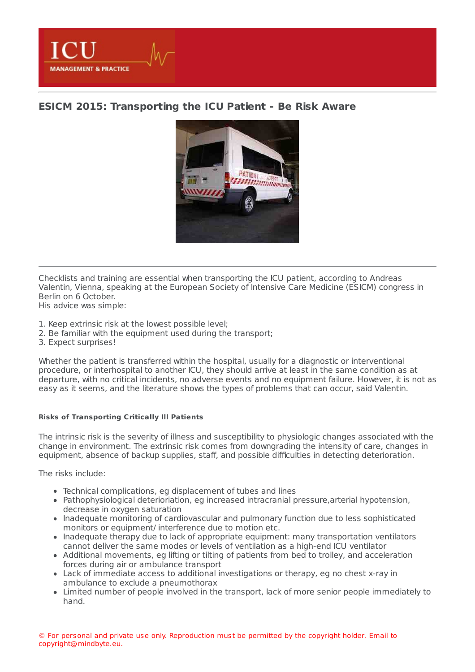**MANAGEMENT & PRACTICE** 

# **ESICM 2015: [Transporting](https://healthmanagement.org/s/esicm-2015-transporting-the-icu-patient-be-risk-aware) the ICU Patient - Be Risk Aware**



Checklists and training are essential when transporting the ICU patient, according to Andreas Valentin, Vienna, speaking at the European Society of Intensive Care Medicine (ESICM) congress in Berlin on 6 October. His advice was simple:

- 1. Keep extrinsic risk at the lowest possible level;
- 2. Be familiar with the equipment used during the transport;
- 3. Expect surprises!

Whether the patient is transferred within the hospital, usually for a diagnostic or interventional procedure, or interhospital to another ICU, they should arrive at least in the same condition as at departure, with no critical incidents, no adverse events and no equipment failure. However, it is not as easy as it seems, and the literature shows the types of problems that can occur, said Valentin.

# **Risks of Transporting Critically Ill Patients**

The intrinsic risk is the severity of illness and susceptibility to physiologic changes associated with the change in environment. The extrinsic risk comes from downgrading the intensity of care, changes in equipment, absence of backup supplies, staff, and possible difficulties in detecting deterioration.

The risks include:

- Technical complications, eg displacement of tubes and lines
- Pathophysiological deterioriation, eg increased intracranial pressure,arterial hypotension, decrease in oxygen saturation
- Inadequate monitoring of cardiovascular and pulmonary function due to less sophisticated monitors or equipment/ interference due to motion etc.
- Inadequate therapy due to lack of appropriate equipment: many transportation ventilators cannot deliver the same modes or levels of ventilation as a high-end ICU ventilator
- Additional movements, eg lifting or tilting of patients from bed to trolley, and acceleration forces during air or ambulance transport
- Lack of immediate access to additional investigations or therapy, eg no chest x-ray in ambulance to exclude a pneumothorax
- Limited number of people involved in the transport, lack of more senior people immediately to hand.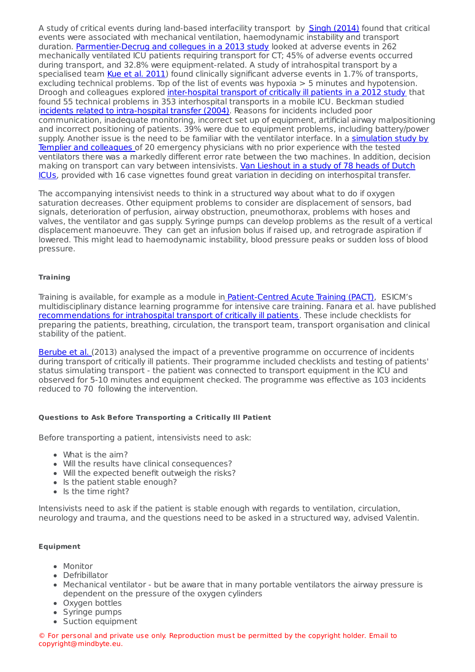A study of critical events during land-based interfacility transport by Singh (2014) found that critical events were associated with mechanical ventilation, haemodynamic instability and transport duration. [Parmentier-Decrug](http://www.ncbi.nlm.nih.gov/pubmed/23587445) and collegues in a 2013 study looked at adverse events in 262 mechanically ventilated ICU patients requiring transport for CT; 45% of adverse events occurred during transport, and 32.8% were equipment-related. A study of intrahospital transport by a specialised team Kue et al. [2011](http://www.ncbi.nlm.nih.gov/pubmed/21362719)) found clinically significant adverse events in 1.7% of transports, excluding technical problems. Top of the list of events was hypoxia > 5 minutes and hypotension. Droogh and colleagues explored [inter-hospital](http://www.ncbi.nlm.nih.gov/pmc/articles/PMC3396270/) transport of critically ill patients in a 2012 study that found 55 technical problems in 353 interhospital transports in a mobile ICU. Beckman studied incidents related to [intra-hospital](http://www.ncbi.nlm.nih.gov/pubmed/14991102) transfer (2004). Reasons for incidents included poor communication, inadequate monitoring, incorrect set up of equipment, artificial airway malpositioning and incorrect positioning of patients. 39% were due to equipment problems, including battery/power supply. Another issue is the need to be familiar with the ventilator interface. In a simulation study by Templier and colleagues of 20 [emergency](http://www.rcjournal.com/contents/12.07/12.07.1701.pdf) physicians with no prior experience with the tested ventilators there was a markedly different error rate between the two machines. In addition, decision making on transport can vary between intensivists. Van Lieshout in a study of 78 heads of Dutch ICUs, provided with 16 case vignettes found great variation in deciding on [interhospital](http://www.ncbi.nlm.nih.gov/pmc/articles/PMC2480595/) transfer.

The accompanying intensivist needs to think in a structured way about what to do if oxygen saturation decreases. Other equipment problems to consider are displacement of sensors, bad signals, deterioration of perfusion, airway obstruction, pneumothorax, problems with hoses and valves, the ventilator and gas supply. Syringe pumps can develop problems as the result of a vertical displacement manoeuvre. They can get an infusion bolus if raised up, and retrograde aspiration if lowered. This might lead to haemodynamic instability, blood pressure peaks or sudden loss of blood pressure.

## **Training**

Training is available, for example as a module in [Patient-Centred](http://pact.esicm.org/index.php?ipTested=1) Acute Training (PACT), ESICM's multidisciplinary distance learning programme for intensive care training. Fanara et al. have published [recommendations](http://www.ccforum.com/content/14/3/R87) for intrahospital transport of critically ill patients. These include checklists for preparing the patients, breathing, circulation, the transport team, transport organisation and clinical stability of the patient.

[Berube](http://www.ncbi.nlm.nih.gov/pubmed/22921453) et al. (2013) analysed the impact of a preventive programme on occurrence of incidents during transport of critically ill patients. Their programme included checklists and testing of patients' status simulating transport - the patient was connected to transport equipment in the ICU and observed for 5-10 minutes and equipment checked. The programme was effective as 103 incidents reduced to 70 following the intervention.

## **Questions to Ask Before Transporting a Critically Ill Patient**

Before transporting a patient, intensivists need to ask:

- What is the aim?
- Will the results have clinical consequences?
- Will the expected benefit outweigh the risks?
- Is the patient stable enough?
- $\bullet$  Is the time right?

Intensivists need to ask if the patient is stable enough with regards to ventilation, circulation, neurology and trauma, and the questions need to be asked in a structured way, advised Valentin.

#### **Equipment**

- Monitor
- Defribillator
- Mechanical ventilator but be aware that in many portable ventilators the airway pressure is dependent on the pressure of the oxygen cylinders
- Oxygen bottles
- Syringe pumps
- Suction equipment

© For personal and private use only. Reproduction must be permitted by the copyright holder. Email to copyright@mindbyte.eu.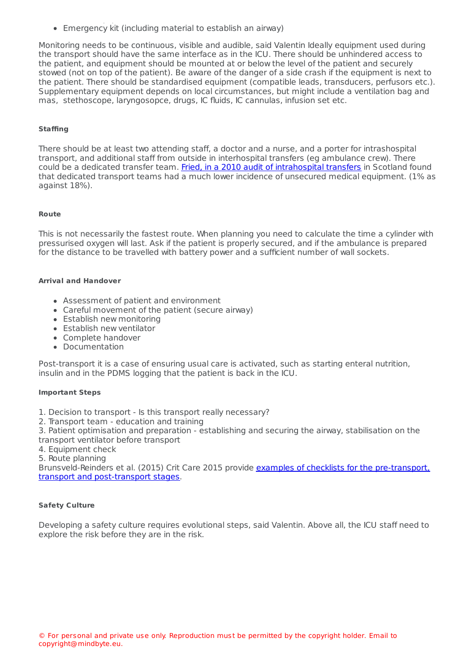Suction equipment Emergency kit (including material to establish an airway)

Monitoring needs to be continuous, visible and audible, said Valentin Ideally equipment used during the transport should have the same interface as in the ICU. There should be unhindered access to the patient, and equipment should be mounted at or below the level of the patient and securely stowed (not on top of the patient). Be aware of the danger of a side crash if the equipment is next to the patient. There should be standardised equipment (compatible leads, transducers, perfusors etc.). Supplementary equipment depends on local circumstances, but might include a ventilation bag and mas, stethoscope, laryngosopce, drugs, IC fluids, IC cannulas, infusion set etc.

## **Staffing**

There should be at least two attending staff, a doctor and a nurse, and a porter for intrashospital transport, and additional staff from outside in interhospital transfers (eg ambulance crew). There could be a dedicated transfer team. Fried, in a 2010 audit of [intrahospital](http://www.ncbi.nlm.nih.gov/pubmed/19995348) transfers in Scotland found that dedicated transport teams had a much lower incidence of unsecured medical equipment. (1% as against 18%).

#### **Route**

This is not necessarily the fastest route. When planning you need to calculate the time a cylinder with pressurised oxygen will last. Ask if the patient is properly secured, and if the ambulance is prepared for the distance to be travelled with battery power and a sufficient number of wall sockets.

### **Arrival and Handover**

- Assessment of patient and environment
- Careful movement of the patient (secure airway)
- Establish new monitoring
- Establish new ventilator
- Complete handover
- Documentation

Post-transport it is a case of ensuring usual care is activated, such as starting enteral nutrition, insulin and in the PDMS logging that the patient is back in the ICU.

#### **Important Steps**

- 1. Decision to transport Is this transport really necessary?
- 2. Transport team education and training

3. Patient optimisation and preparation - establishing and securing the airway, stabilisation on the transport ventilator before transport

- 4. Equipment check
- 5. Route planning

[Brunsveld-Reinders](http://www.ccforum.com/content/19/1/214) et al. (2015) Crit Care 2015 provide examples of checklists for the pre-transport, transport and post-transport stages.

# **Safety Culture**

Developing a safety culture requires evolutional steps, said Valentin. Above all, the ICU staff need to explore the risk before they are in the risk.